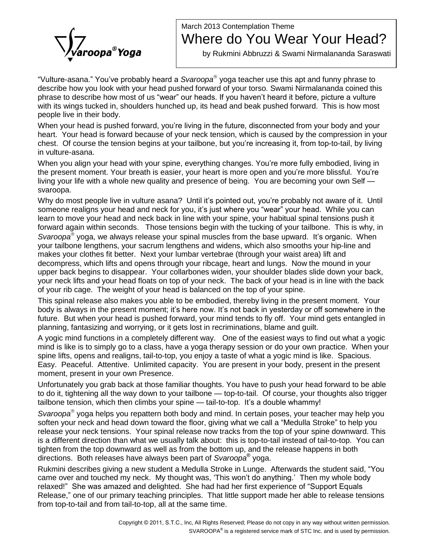## ìVulture

## March 2013 Contemplation Theme Where do You Wear Your Head?

by Rukmini Abbruzzi & Swami Nirmalananda Saraswati

-asana.<sup>î</sup> Youíve probably heard <sup>a</sup> Svaroopa yoga teacher use this aptand funny phrase to describe how you look with your head pushed forward of your torso. Swami Nirmalananda coined this "Vulture-asana." You've probably heard a *Svaroopa*® yoga teacher use this apt and funny phrase to<br>describe how you look with your head pushed forward of your torso. Swami Nirmalananda coined this<br>phrase to describe how mo with its wings tucked in, shoulders hunched up, its head and beak pushed forward. This is how most<br>people live in their body.<br>When your head is pushed forward, you're living in the future, disconnected from your body and people live in their body.

heart. Your head is forward because of your neck tension, which is caused by the compression in your When your head is pushed forward, you're living in the future, disconnected from your body and your<br>heart. Your head is forward because of your neck tension, which is caused by the compression in your<br>chest. Of course the in vulture-asana. chest. Of course the tension begins at your tailbone, but you're increasing it, from top-to-tail, by living

in vulture-asana.<br>When you align your head with your spine, everything changes. You're more fully embodied, living in<br>the present moment. Your breath is easier, your heart is more open and you're more blissful. You're When you align your head with your spine, everything changes. You're more fully embodied, living in<br>the present moment. Your breath is easier, your heart is more open and you're more blissful. You're<br>living your life with svaroopa. living your life with a whole new quality and presence of being. You are becoming your own Self —<br>svaroopa.<br>Why do most people live in vulture asana? Until it's pointed out, you're probably not aware of it. Until

someone realigns your head and neck for you, it's just where you "wear" your head. While you can learn to move your head and neck back in line with your spine, your habitual spinal tensions push it forward again within seconds. Those tensions begin with the tucking of your tailbone. This is why, in learn to move your head and neck back in line with your spine, your habitual spinal tensions push it<br>forward again within seconds. Those tensions begin with the tucking of your tailbone. This is why, in<br>*Svaroopa*® yoga your tailbone lengthens, your sacrum lengthens and widens, which also smooths your hip-line and makes your clothes fit better. Next your lumbar vertebrae (through your waist area) lift and decompress, which lifts and opens through your ribcage, heart and lungs. Now the mound in your upper back begins to disappear. Your collarbones widen, your shoulder blades slide down your back, your neck lifts and your head floats on top of your neck. The back of your head is in line with the back of your rib cage. The weight of your head is balanced on the top of your spine.

This spinal release also makes you able to be embodied, thereby living in the present moment. Your body is always in the present moment; it's here now. It's not back in yesterday or off somewhere in the future. But when your head is pushed forward, your mind tends to fly off. Your mind gets entangled in planning, fantasizing and worrying, or it gets lost in recriminations, blame and guilt.

A yogic mind functions in a completely different way. One of the easiest ways to find out what a yogic mind is like is to simply go to a class, have a yoga therapy session or do your own practice. When your spine lifts, opens and realigns, tail-to-top, you enjoy a taste of what a yogic mind is like. Spacious. Easy. Peaceful. Attentive. Unlimited capacity. You are present in your body, present in the present moment, present in your own Presence.

Unfortunately you grab back at those familiar thoughts. You have to push your head forward to be able moment, present in your own Presence.<br>Unfortunately you grab back at those familiar thoughts. You have to push your head forward to be able<br>to do it, tightening all the way down to your tailbone — top-to-tail. Of course, Unfortunately you grab back at those familiar thoughts. You have to push your head forv<br>to do it, tightening all the way down to your tailbone — top-to-tail. Of course, your thoug<br>tailbone tension, which then climbs your s tailbone tension, which then climbs your spine - tail-to-top. It's a double whammy!

Svaroopa® yoga helps you repattern both body and mind. In certain poses, your teacher may help you tailbone tension, which then climbs your spine — tail-to-top. It's a double whammy!<br>*Svaroopa*® yoga helps you repattern both body and mind. In certain poses, your teacher may help you<br>soften your neck and head down towar release your neck tensions. Your spinal release now tracks from the top of your spine downward. This is a different direction than what we usually talk about: this is top-to-tail instead of tail-to-top. You can Ætighten from the top downward as well as from the bottom up, and the release happens in both directions. Both releases have always been part of S*varoopa*® yoga.

Rukmini describes giving a new student a Medulla Stroke in Lunge. Afterwards the student said, "You directions. Both releases have always been part of *Svaroopa*® yoga.<br>Rukmini describes giving a new student a Medulla Stroke in Lunge. Afterwards the student said, "You<br>came over and touched my neck. My thought was, 'Th Rukmini describes giving a new student a Medulla Stroke in Lunge. Afterwards the student said, "You<br>came over and touched my neck. My thought was, 'This won't do anything.' Then my whole body<br>relaxed!" She was amazed and d release," one of our primary teaching principles. This won't do anything." Then my whole body<br>relaxed!" She was amazed and delighted. She had had her first experience of "Support Equals<br>Release," one of our primary teachin from top-to-tail and from tail-to-top, all at the same time.